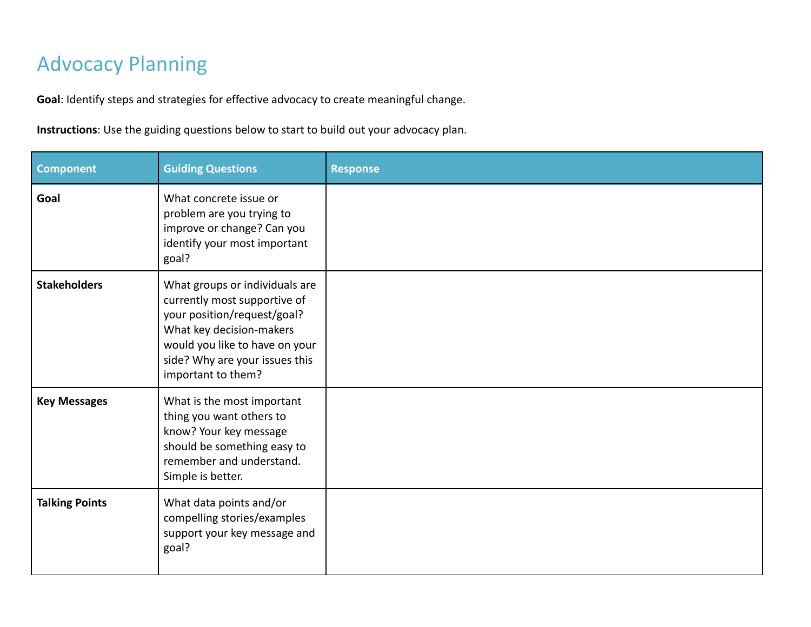## Advocacy Planning

**Goal**: Identify steps and strategies for effective advocacy to create meaningful change.

**Instructions**: Use the guiding questions below to start to build out your advocacy plan.

| <b>Component</b>      | <b>Guiding Questions</b>                                                                                                                                                                                            | <b>Response</b> |
|-----------------------|---------------------------------------------------------------------------------------------------------------------------------------------------------------------------------------------------------------------|-----------------|
| Goal                  | What concrete issue or<br>problem are you trying to<br>improve or change? Can you<br>identify your most important<br>goal?                                                                                          |                 |
| <b>Stakeholders</b>   | What groups or individuals are<br>currently most supportive of<br>your position/request/goal?<br>What key decision-makers<br>would you like to have on your<br>side? Why are your issues this<br>important to them? |                 |
| <b>Key Messages</b>   | What is the most important<br>thing you want others to<br>know? Your key message<br>should be something easy to<br>remember and understand.<br>Simple is better.                                                    |                 |
| <b>Talking Points</b> | What data points and/or<br>compelling stories/examples<br>support your key message and<br>goal?                                                                                                                     |                 |